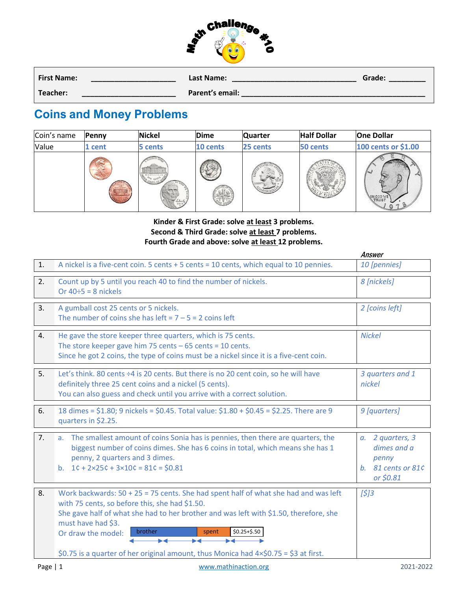

| <b>First Name:</b> | Last Name:      | Grade: |
|--------------------|-----------------|--------|
| Teacher:           | Parent's email: |        |

## **Coins and Money Problems**

| Coin's name | Penny | <b>Nickel</b>                                      | <b>Dime</b> | <b>Quarter</b> | <b>Half Dollar</b> | <b>One Dollar</b>   |
|-------------|-------|----------------------------------------------------|-------------|----------------|--------------------|---------------------|
| Value       | cent  | cents                                              | 10 cents    | 25 cents       | 50 cents           | 100 cents or \$1.00 |
|             |       | <b>MORTICELLO</b><br>TANE CENTS<br>leborty<br>2013 |             | LIBERT         |                    | <b>INCOD</b>        |

## **Kinder & First Grade: solve at least 3 problems. Second & Third Grade: solve at least 7 problems. Fourth Grade and above: solve at least 12 problems.**

|    |                                                                                                                                                                                                                                                                                                                                                                                                            | Answer                                                                             |
|----|------------------------------------------------------------------------------------------------------------------------------------------------------------------------------------------------------------------------------------------------------------------------------------------------------------------------------------------------------------------------------------------------------------|------------------------------------------------------------------------------------|
| 1. | A nickel is a five-cent coin. 5 cents + 5 cents = 10 cents, which equal to 10 pennies.                                                                                                                                                                                                                                                                                                                     | 10 [pennies]                                                                       |
| 2. | Count up by 5 until you reach 40 to find the number of nickels.<br>Or $40 \div 5 = 8$ nickels                                                                                                                                                                                                                                                                                                              | 8 [nickels]                                                                        |
| 3. | A gumball cost 25 cents or 5 nickels.<br>The number of coins she has left = $7 - 5 = 2$ coins left                                                                                                                                                                                                                                                                                                         | 2 [coins left]                                                                     |
| 4. | He gave the store keeper three quarters, which is 75 cents.<br>The store keeper gave him 75 cents $-65$ cents = 10 cents.<br>Since he got 2 coins, the type of coins must be a nickel since it is a five-cent coin.                                                                                                                                                                                        | <b>Nickel</b>                                                                      |
| 5. | Let's think. 80 cents ÷4 is 20 cents. But there is no 20 cent coin, so he will have<br>definitely three 25 cent coins and a nickel (5 cents).<br>You can also guess and check until you arrive with a correct solution.                                                                                                                                                                                    | 3 quarters and 1<br>nickel                                                         |
| 6. | 18 dimes = \$1.80; 9 nickels = \$0.45. Total value: \$1.80 + \$0.45 = \$2.25. There are 9<br>quarters in \$2.25.                                                                                                                                                                                                                                                                                           | 9 [quarters]                                                                       |
| 7. | a. The smallest amount of coins Sonia has is pennies, then there are quarters, the<br>biggest number of coins dimes. She has 6 coins in total, which means she has 1<br>penny, 2 quarters and 3 dimes.<br>b. $1c + 2 \times 25c + 3 \times 10c = 81c = $0.81$                                                                                                                                              | a. 2 quarters, 3<br>dimes and a<br>penny<br>b. 81 cents or 81 $\zeta$<br>or \$0.81 |
| 8. | Work backwards: $50 + 25 = 75$ cents. She had spent half of what she had and was left<br>with 75 cents, so before this, she had \$1.50.<br>She gave half of what she had to her brother and was left with \$1.50, therefore, she<br>must have had \$3.<br>brother<br>$$0.25 + $.50$<br>spent<br>Or draw the model:<br>\$0.75 is a quarter of her original amount, thus Monica had 4×\$0.75 = \$3 at first. | $[5]3$                                                                             |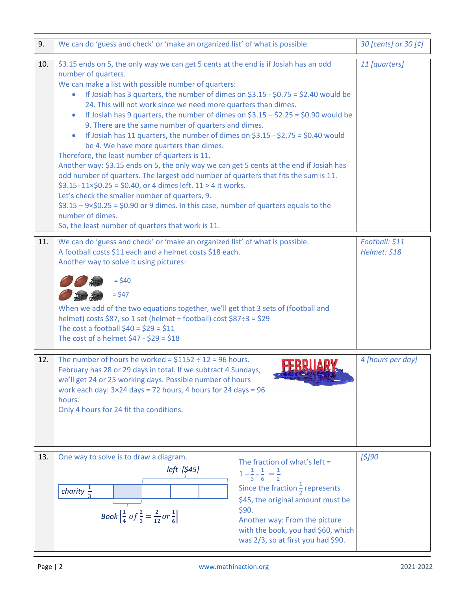| 9.  | We can do 'guess and check' or 'make an organized list' of what is possible.                                                                                                                                                                                                                                                                                                                                                                                                                                                                                                                                                                                                                                                                                                                                                                                                                                                                                                                                                                                                                                                                                           | 30 [cents] or 30 [¢]           |
|-----|------------------------------------------------------------------------------------------------------------------------------------------------------------------------------------------------------------------------------------------------------------------------------------------------------------------------------------------------------------------------------------------------------------------------------------------------------------------------------------------------------------------------------------------------------------------------------------------------------------------------------------------------------------------------------------------------------------------------------------------------------------------------------------------------------------------------------------------------------------------------------------------------------------------------------------------------------------------------------------------------------------------------------------------------------------------------------------------------------------------------------------------------------------------------|--------------------------------|
| 10. | \$3.15 ends on 5, the only way we can get 5 cents at the end is if Josiah has an odd<br>number of quarters.<br>We can make a list with possible number of quarters:<br>If Josiah has 3 quarters, the number of dimes on $$3.15 - $0.75 = $2.40$ would be<br>24. This will not work since we need more quarters than dimes.<br>If Josiah has 9 quarters, the number of dimes on $$3.15 - $2.25 = $0.90$ would be<br>$\bullet$<br>9. There are the same number of quarters and dimes.<br>If Josiah has 11 quarters, the number of dimes on \$3.15 - \$2.75 = \$0.40 would<br>$\bullet$<br>be 4. We have more quarters than dimes.<br>Therefore, the least number of quarters is 11.<br>Another way: \$3.15 ends on 5, the only way we can get 5 cents at the end if Josiah has<br>odd number of quarters. The largest odd number of quarters that fits the sum is 11.<br>$$3.15 - 11 \times $0.25 = $0.40$ , or 4 dimes left. 11 > 4 it works.<br>Let's check the smaller number of quarters, 9.<br>$$3.15 - 9 \times $0.25 = $0.90$ or 9 dimes. In this case, number of quarters equals to the<br>number of dimes.<br>So, the least number of quarters that work is 11. | 11 [quarters]                  |
| 11. | We can do 'guess and check' or 'make an organized list' of what is possible.<br>A football costs \$11 each and a helmet costs \$18 each.<br>Another way to solve it using pictures:<br>$=$ \$40<br>$= $47$<br>When we add of the two equations together, we'll get that 3 sets of (football and<br>helmet) costs \$87, so 1 set (helmet + football) cost \$87÷3 = \$29<br>The cost a football $$40 = $29 = $11$<br>The cost of a helmet $$47 - $29 = $18$                                                                                                                                                                                                                                                                                                                                                                                                                                                                                                                                                                                                                                                                                                              | Football: \$11<br>Helmet: \$18 |
| 12. | The number of hours he worked = $$1152 \div 12 = 96$ hours.<br>February has 28 or 29 days in total. If we subtract 4 Sundays,<br>we'll get 24 or 25 working days. Possible number of hours<br>work each day: $3 \times 24$ days = 72 hours, 4 hours for 24 days = 96<br>hours.<br>Only 4 hours for 24 fit the conditions.                                                                                                                                                                                                                                                                                                                                                                                                                                                                                                                                                                                                                                                                                                                                                                                                                                              | 4 [hours per day]              |
| 13. | One way to solve is to draw a diagram.<br>The fraction of what's left =<br><i>left</i> [\$45]<br>$1-\frac{1}{3}-\frac{1}{6}=\frac{1}{2}$<br>Since the fraction $\frac{1}{2}$ represents<br>charity $\frac{1}{2}$<br>\$45, the original amount must be<br>\$90.<br>Book $\left[\frac{1}{4}$ of $\frac{2}{3} = \frac{2}{12}$ or $\frac{1}{6}\right]$<br>Another way: From the picture<br>with the book, you had \$60, which<br>was 2/3, so at first you had \$90.                                                                                                                                                                                                                                                                                                                                                                                                                                                                                                                                                                                                                                                                                                        | [\$]90                         |